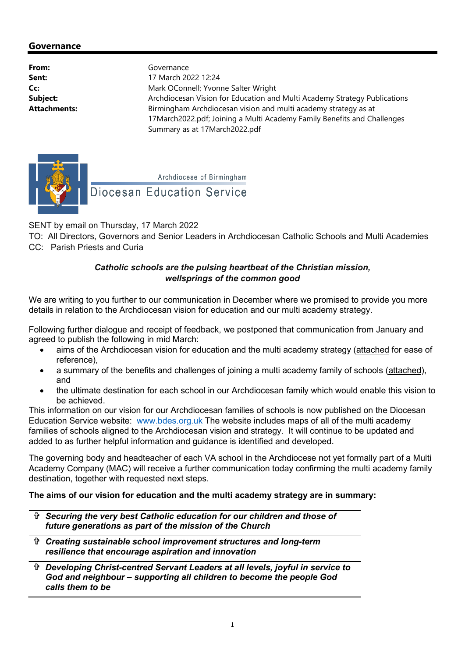# Governance

From: Governance

Sent: 17 March 2022 12:24 Cc: Mark OConnell; Yvonne Salter Wright Subject: Archdiocesan Vision for Education and Multi Academy Strategy Publications Attachments: **Birmingham Archdiocesan vision and multi academy strategy as at Attachments:** 17March2022.pdf; Joining a Multi Academy Family Benefits and Challenges Summary as at 17March2022.pdf



Archdiocese of Birmingham

# **Diocesan Education Service**

SENT by email on Thursday, 17 March 2022

TO: All Directors, Governors and Senior Leaders in Archdiocesan Catholic Schools and Multi Academies CC: Parish Priests and Curia

### Catholic schools are the pulsing heartbeat of the Christian mission, wellsprings of the common good

We are writing to you further to our communication in December where we promised to provide you more details in relation to the Archdiocesan vision for education and our multi academy strategy.

Following further dialogue and receipt of feedback, we postponed that communication from January and agreed to publish the following in mid March:

- aims of the Archdiocesan vision for education and the multi academy strategy (attached for ease of reference),
- a summary of the benefits and challenges of joining a multi academy family of schools (attached), and
- the ultimate destination for each school in our Archdiocesan family which would enable this vision to be achieved.

This information on our vision for our Archdiocesan families of schools is now published on the Diocesan Education Service website: www.bdes.org.uk The website includes maps of all of the multi academy families of schools aligned to the Archdiocesan vision and strategy. It will continue to be updated and added to as further helpful information and guidance is identified and developed.

The governing body and headteacher of each VA school in the Archdiocese not yet formally part of a Multi Academy Company (MAC) will receive a further communication today confirming the multi academy family destination, together with requested next steps.

# The aims of our vision for education and the multi academy strategy are in summary:

- Securing the very best Catholic education for our children and those of future generations as part of the mission of the Church
- Creating sustainable school improvement structures and long-term resilience that encourage aspiration and innovation
- Developing Christ-centred Servant Leaders at all levels, joyful in service to God and neighbour – supporting all children to become the people God calls them to be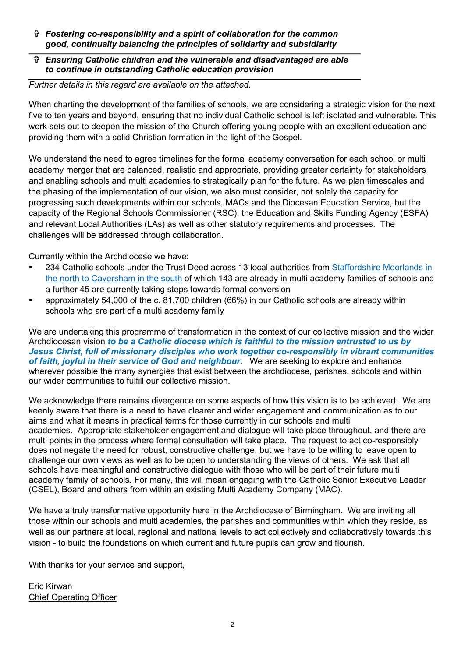- Fostering co-responsibility and a spirit of collaboration for the common good, continually balancing the principles of solidarity and subsidiarity
- Ensuring Catholic children and the vulnerable and disadvantaged are able to continue in outstanding Catholic education provision

#### Further details in this regard are available on the attached.

When charting the development of the families of schools, we are considering a strategic vision for the next five to ten years and beyond, ensuring that no individual Catholic school is left isolated and vulnerable. This work sets out to deepen the mission of the Church offering young people with an excellent education and providing them with a solid Christian formation in the light of the Gospel.

We understand the need to agree timelines for the formal academy conversation for each school or multi academy merger that are balanced, realistic and appropriate, providing greater certainty for stakeholders and enabling schools and multi academies to strategically plan for the future. As we plan timescales and the phasing of the implementation of our vision, we also must consider, not solely the capacity for progressing such developments within our schools, MACs and the Diocesan Education Service, but the capacity of the Regional Schools Commissioner (RSC), the Education and Skills Funding Agency (ESFA) and relevant Local Authorities (LAs) as well as other statutory requirements and processes. The challenges will be addressed through collaboration.

Currently within the Archdiocese we have:

- 234 Catholic schools under the Trust Deed across 13 local authorities from Staffordshire Moorlands in the north to Caversham in the south of which 143 are already in multi academy families of schools and a further 45 are currently taking steps towards formal conversion
- approximately 54,000 of the c. 81,700 children (66%) in our Catholic schools are already within schools who are part of a multi academy family

We are undertaking this programme of transformation in the context of our collective mission and the wider Archdiocesan vision to be a Catholic diocese which is faithful to the mission entrusted to us by Jesus Christ, full of missionary disciples who work together co-responsibly in vibrant communities of faith, joyful in their service of God and neighbour. We are seeking to explore and enhance wherever possible the many synergies that exist between the archdiocese, parishes, schools and within our wider communities to fulfill our collective mission.

We acknowledge there remains divergence on some aspects of how this vision is to be achieved. We are keenly aware that there is a need to have clearer and wider engagement and communication as to our aims and what it means in practical terms for those currently in our schools and multi academies. Appropriate stakeholder engagement and dialogue will take place throughout, and there are multi points in the process where formal consultation will take place. The request to act co-responsibly does not negate the need for robust, constructive challenge, but we have to be willing to leave open to challenge our own views as well as to be open to understanding the views of others. We ask that all schools have meaningful and constructive dialogue with those who will be part of their future multi academy family of schools. For many, this will mean engaging with the Catholic Senior Executive Leader (CSEL), Board and others from within an existing Multi Academy Company (MAC).

We have a truly transformative opportunity here in the Archdiocese of Birmingham. We are inviting all those within our schools and multi academies, the parishes and communities within which they reside, as well as our partners at local, regional and national levels to act collectively and collaboratively towards this vision - to build the foundations on which current and future pupils can grow and flourish.

With thanks for your service and support,

Eric Kirwan Chief Operating Officer